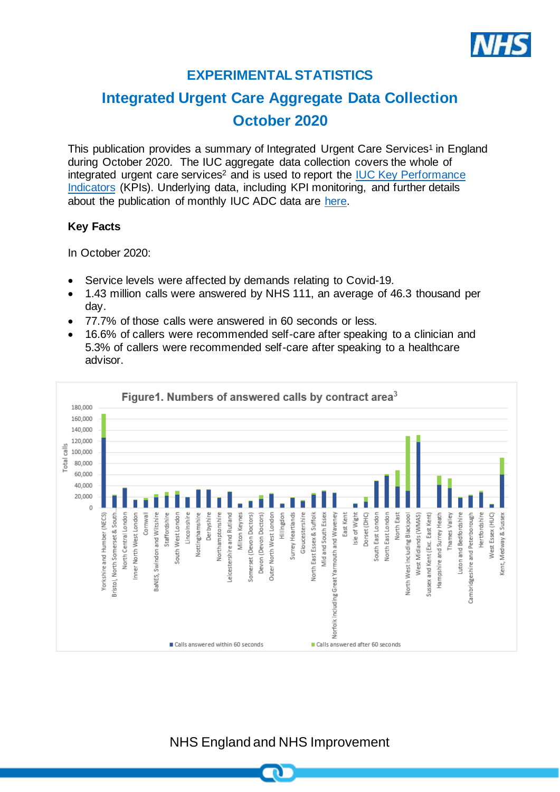

# **EXPERIMENTAL STATISTICS**

# **Integrated Urgent Care Aggregate Data Collection October 2020**

This publication provides a summary of Integrated Urgent Care Services<sup>1</sup> in England during October 2020. The IUC aggregate data collection covers the whole of integrated urgent care services<sup>2</sup> and is used to report the IUC Key Performance [Indicators](https://www.england.nhs.uk/publication/integrated-urgent-care-key-performance-indicators-and-quality-standards-2018/) (KPIs). Underlying data, including KPI monitoring, and further details about the publication of monthly IUC ADC data are [here.](https://www.england.nhs.uk/statistics/statistical-work-areas/nhs-111-minimum-data-set/integrated-urgent-care-aggregate-data-collection-iuc-adc/)

### **Key Facts**

In October 2020:

- Service levels were affected by demands relating to Covid-19.
- 1.43 million calls were answered by NHS 111, an average of 46.3 thousand per day.
- 77.7% of those calls were answered in 60 seconds or less.
- 16.6% of callers were recommended self-care after speaking to a clinician and 5.3% of callers were recommended self-care after speaking to a healthcare advisor.



NHS England and NHS Improvement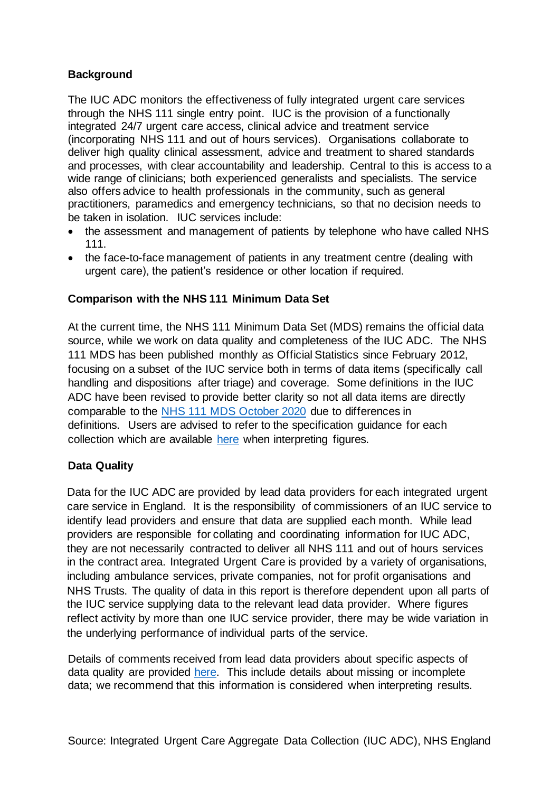### **Background**

The IUC ADC monitors the effectiveness of fully integrated urgent care services through the NHS 111 single entry point. IUC is the provision of a functionally integrated 24/7 urgent care access, clinical advice and treatment service (incorporating NHS 111 and out of hours services). Organisations collaborate to deliver high quality clinical assessment, advice and treatment to shared standards and processes, with clear accountability and leadership. Central to this is access to a wide range of clinicians; both experienced generalists and specialists. The service also offers advice to health professionals in the community, such as general practitioners, paramedics and emergency technicians, so that no decision needs to be taken in isolation. IUC services include:

- the assessment and management of patients by telephone who have called NHS 111.
- the face-to-face management of patients in any treatment centre (dealing with urgent care), the patient's residence or other location if required.

## **Comparison with the NHS 111 Minimum Data Set**

At the current time, the NHS 111 Minimum Data Set (MDS) remains the official data source, while we work on data quality and completeness of the IUC ADC. The NHS 111 MDS has been published monthly as Official Statistics since February 2012, focusing on a subset of the IUC service both in terms of data items (specifically call handling and dispositions after triage) and coverage. Some definitions in the IUC ADC have been revised to provide better clarity so not all data items are directly comparable to the [NHS 111 MDS October](https://www.england.nhs.uk/statistics/wp-content/uploads/sites/2/2020/11/NHS-111-MDS-Nov-2020-Statistical-Note.pdf) 2020 due to differences in definitions. Users are advised to refer to the specification guidance for each collection which are available [here](https://www.england.nhs.uk/statistics/statistical-work-areas/nhs-111-minimum-data-set/integrated-urgent-care-aggregate-data-collection-iuc-adc/) when interpreting figures.

# **Data Quality**

Data for the IUC ADC are provided by lead data providers for each integrated urgent care service in England. It is the responsibility of commissioners of an IUC service to identify lead providers and ensure that data are supplied each month. While lead providers are responsible for collating and coordinating information for IUC ADC, they are not necessarily contracted to deliver all NHS 111 and out of hours services in the contract area. Integrated Urgent Care is provided by a variety of organisations, including ambulance services, private companies, not for profit organisations and NHS Trusts. The quality of data in this report is therefore dependent upon all parts of the IUC service supplying data to the relevant lead data provider. Where figures reflect activity by more than one IUC service provider, there may be wide variation in the underlying performance of individual parts of the service.

Details of comments received from lead data providers about specific aspects of data quality are provided [here.](https://www.england.nhs.uk/statistics/statistical-work-areas/nhs-111-minimum-data-set/integrated-urgent-care-aggregate-data-collection-iuc-adc/) This include details about missing or incomplete data; we recommend that this information is considered when interpreting results.